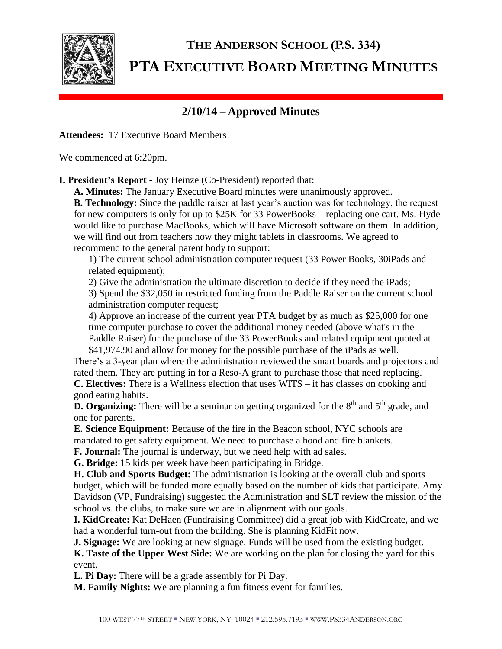

## **THE ANDERSON SCHOOL (P.S. 334) PTA EXECUTIVE BOARD MEETING MINUTES**

## **2/10/14 – Approved Minutes**

**Attendees:** 17 Executive Board Members

We commenced at 6:20pm.

**I. President's Report -** Joy Heinze (Co-President) reported that:

**A. Minutes:** The January Executive Board minutes were unanimously approved.

**B. Technology:** Since the paddle raiser at last year's auction was for technology, the request for new computers is only for up to \$25K for 33 PowerBooks – replacing one cart. Ms. Hyde would like to purchase MacBooks, which will have Microsoft software on them. In addition, we will find out from teachers how they might tablets in classrooms. We agreed to recommend to the general parent body to support:

1) The current school administration computer request (33 Power Books, 30iPads and related equipment);

2) Give the administration the ultimate discretion to decide if they need the iPads;

3) Spend the \$32,050 in restricted funding from the Paddle Raiser on the current school administration computer request;

4) Approve an increase of the current year PTA budget by as much as \$25,000 for one time computer purchase to cover the additional money needed (above what's in the Paddle Raiser) for the purchase of the 33 PowerBooks and related equipment quoted at \$41,974.90 and allow for money for the possible purchase of the iPads as well.

There's a 3-year plan where the administration reviewed the smart boards and projectors and rated them. They are putting in for a Reso-A grant to purchase those that need replacing. **C. Electives:** There is a Wellness election that uses WITS – it has classes on cooking and

good eating habits.

**D. Organizing:** There will be a seminar on getting organized for the 8<sup>th</sup> and 5<sup>th</sup> grade, and one for parents.

**E. Science Equipment:** Because of the fire in the Beacon school, NYC schools are mandated to get safety equipment. We need to purchase a hood and fire blankets.

**F. Journal:** The journal is underway, but we need help with ad sales.

**G. Bridge:** 15 kids per week have been participating in Bridge.

**H. Club and Sports Budget:** The administration is looking at the overall club and sports budget, which will be funded more equally based on the number of kids that participate. Amy Davidson (VP, Fundraising) suggested the Administration and SLT review the mission of the school vs. the clubs, to make sure we are in alignment with our goals.

**I. KidCreate:** Kat DeHaen (Fundraising Committee) did a great job with KidCreate, and we had a wonderful turn-out from the building. She is planning KidFit now.

**J. Signage:** We are looking at new signage. Funds will be used from the existing budget.

**K. Taste of the Upper West Side:** We are working on the plan for closing the yard for this event.

**L. Pi Day:** There will be a grade assembly for Pi Day.

**M. Family Nights:** We are planning a fun fitness event for families.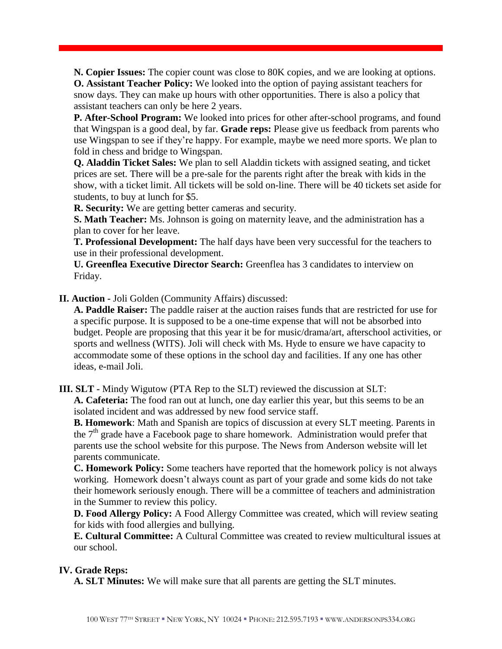**N. Copier Issues:** The copier count was close to 80K copies, and we are looking at options. **O. Assistant Teacher Policy:** We looked into the option of paying assistant teachers for snow days. They can make up hours with other opportunities. There is also a policy that assistant teachers can only be here 2 years.

**P. After-School Program:** We looked into prices for other after-school programs, and found that Wingspan is a good deal, by far. **Grade reps:** Please give us feedback from parents who use Wingspan to see if they're happy. For example, maybe we need more sports. We plan to fold in chess and bridge to Wingspan.

**Q. Aladdin Ticket Sales:** We plan to sell Aladdin tickets with assigned seating, and ticket prices are set. There will be a pre-sale for the parents right after the break with kids in the show, with a ticket limit. All tickets will be sold on-line. There will be 40 tickets set aside for students, to buy at lunch for \$5.

**R. Security:** We are getting better cameras and security.

**S. Math Teacher:** Ms. Johnson is going on maternity leave, and the administration has a plan to cover for her leave.

**T. Professional Development:** The half days have been very successful for the teachers to use in their professional development.

**U. Greenflea Executive Director Search:** Greenflea has 3 candidates to interview on Friday.

**II. Auction -** Joli Golden (Community Affairs) discussed:

**A. Paddle Raiser:** The paddle raiser at the auction raises funds that are restricted for use for a specific purpose. It is supposed to be a one-time expense that will not be absorbed into budget. People are proposing that this year it be for music/drama/art, afterschool activities, or sports and wellness (WITS). Joli will check with Ms. Hyde to ensure we have capacity to accommodate some of these options in the school day and facilities. If any one has other ideas, e-mail Joli.

**III. SLT -** Mindy Wigutow (PTA Rep to the SLT) reviewed the discussion at SLT:

**A. Cafeteria:** The food ran out at lunch, one day earlier this year, but this seems to be an isolated incident and was addressed by new food service staff.

**B. Homework**: Math and Spanish are topics of discussion at every SLT meeting. Parents in the  $7<sup>th</sup>$  grade have a Facebook page to share homework. Administration would prefer that parents use the school website for this purpose. The News from Anderson website will let parents communicate.

**C. Homework Policy:** Some teachers have reported that the homework policy is not always working. Homework doesn't always count as part of your grade and some kids do not take their homework seriously enough. There will be a committee of teachers and administration in the Summer to review this policy.

**D. Food Allergy Policy:** A Food Allergy Committee was created, which will review seating for kids with food allergies and bullying.

**E. Cultural Committee:** A Cultural Committee was created to review multicultural issues at our school.

## **IV. Grade Reps:**

**A. SLT Minutes:** We will make sure that all parents are getting the SLT minutes.